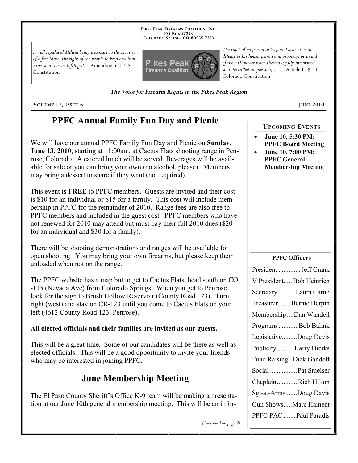**PIKES PEAK FIREARMS COALITION, INC. PO BOX 17253 COLORADO SPRINGS CO 80935 -7253**

*A well regulated Militia being necessary to the security of a free State, the right of the people to keep and bear Arms shall not be infringed.* --Amendment II, US Constitution



*The right of no person to keep and bear arms in defense of his home, person and property, or in aid of the civil power when thereto legally summoned, shall be called to question; . . .* --Article II, § 13, Colorado Constitution

*The Voice for Firearm Rights in the Pikes Peak Region*

**VOLUME** 17, ISSUE 6 **JUNE** 2010

# **PPFC Annual Family Fun Day and Picnic**

We will have our annual PPFC Family Fun Day and Picnic on **Sunday, June 13, 2010**, starting at 11:00am, at Cactus Flats shooting range in Penrose, Colorado. A catered lunch will be served. Beverages will be available for sale or you can bring your own (no alcohol, please). Members may bring a dessert to share if they want (not required).

This event is **FREE** to PPFC members. Guests are invited and their cost is \$10 for an individual or \$15 for a family. This cost will include membership in PPFC for the remainder of 2010. Range fees are also free to PPFC members and included in the guest cost. PPFC members who have not renewed for 2010 may attend but must pay their full 2010 dues (\$20 for an individual and \$30 for a family).

There will be shooting demonstrations and ranges will be available for open shooting. You may bring your own firearms, but please keep them unloaded when not on the range.

The PPFC website has a map but to get to Cactus Flats, head south on CO -115 (Nevada Ave) from Colorado Springs. When you get to Penrose, look for the sign to Brush Hollow Reservoir (County Road 123). Turn right (west) and stay on CR-123 until you come to Cactus Flats on your left (4612 County Road 123, Penrose).

### **All elected officials and their families are invited as our guests.**

This will be a great time. Some of our candidates will be there as well as elected officials. This will be a good opportunity to invite your friends who may be interested in joining PPFC.

# **June Membership Meeting**

The El Paso County Sheriff's Office K-9 team will be making a presentation at our June 10th general membership meeting. This will be an infor-

#### **UPCOMING EVENTS**

- **June 10, 5:30 PM: PPFC Board Meeting**
- **June 10, 7:00 PM: PPFC General Membership Meeting**

#### **PPFC Officers**

| President  Jeff Crank     |
|---------------------------|
| V President Bob Heinrich  |
| Secretary Laura Carno     |
| Treasurer  Bernie Herpin  |
| Membership Dan Wandell    |
| ProgramsBob Balink        |
| LegislativeDoug Davis     |
| PublicityHarry Dierks     |
| Fund Raising Dick Gandolf |
| Social  Pat Smelser       |
| ChaplainRich Hilton       |
| Sgt-at-ArmsDoug Davis     |
| Gun ShowsMarc Hament      |
| PPFC PAC  Paul Paradis    |

*(Continued on page 2)*